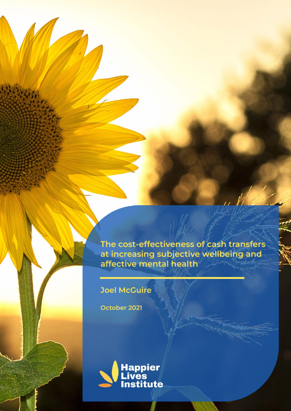The cost-effectiveness of cash transfers at increasing subjective wellbeing and affective mental health

#### **Joel McGuire**

October 2021

433342

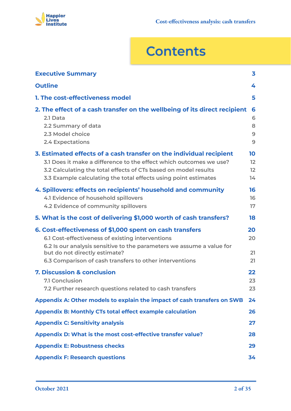

# **Contents**

| <b>Executive Summary</b>                                                                                                                                                                                                                                                          | 3                                   |
|-----------------------------------------------------------------------------------------------------------------------------------------------------------------------------------------------------------------------------------------------------------------------------------|-------------------------------------|
| <b>Outline</b>                                                                                                                                                                                                                                                                    | 4                                   |
| 1. The cost-effectiveness model                                                                                                                                                                                                                                                   | 5                                   |
| 2. The effect of a cash transfer on the wellbeing of its direct recipient<br>2.1 Data<br>2.2 Summary of data<br>2.3 Model choice<br><b>2.4 Expectations</b>                                                                                                                       | 6<br>6<br>8<br>9<br>9               |
| 3. Estimated effects of a cash transfer on the individual recipient<br>3.1 Does it make a difference to the effect which outcomes we use?<br>3.2 Calculating the total effects of CTs based on model results<br>3.3 Example calculating the total effects using point estimates   | 10<br>$12 \overline{ }$<br>12<br>14 |
| 4. Spillovers: effects on recipients' household and community<br>4.1 Evidence of household spillovers<br>4.2 Evidence of community spillovers                                                                                                                                     | 16<br>16<br>17                      |
| 5. What is the cost of delivering \$1,000 worth of cash transfers?                                                                                                                                                                                                                | 18                                  |
| 6. Cost-effectiveness of \$1,000 spent on cash transfers<br>6.1 Cost-effectiveness of existing interventions<br>6.2 Is our analysis sensitive to the parameters we assume a value for<br>but do not directly estimate?<br>6.3 Comparison of cash transfers to other interventions | 20<br>20<br>21<br>21                |
| <b>7. Discussion &amp; conclusion</b><br><b>7.1 Conclusion</b><br>7.2 Further research questions related to cash transfers                                                                                                                                                        | 22<br>23<br>23                      |
| Appendix A: Other models to explain the impact of cash transfers on SWB                                                                                                                                                                                                           | 24                                  |
| <b>Appendix B: Monthly CTs total effect example calculation</b>                                                                                                                                                                                                                   | 26                                  |
| <b>Appendix C: Sensitivity analysis</b>                                                                                                                                                                                                                                           | 27                                  |
| Appendix D: What is the most cost-effective transfer value?                                                                                                                                                                                                                       | 28                                  |
| <b>Appendix E: Robustness checks</b>                                                                                                                                                                                                                                              | 29                                  |
| <b>Appendix F: Research questions</b>                                                                                                                                                                                                                                             | 34                                  |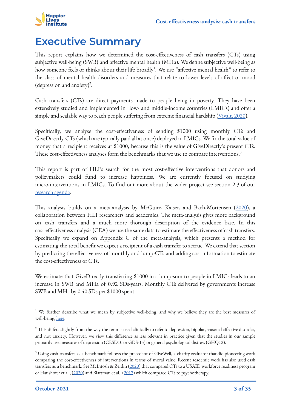

### <span id="page-2-0"></span>**Executive Summary**

This report explains how we determined the cost-effectiveness of cash transfers (CTs) using subjective well-being (SWB) and affective mental health (MHa). We define subjective well-being as how someone feels or thinks about their life broadly $^1$ . We use "affective mental health" to refer to the class of mental health disorders and measures that relate to lower levels of affect or mood (depression and anxiety)<sup>2</sup>.

Cash transfers (CTs) are direct payments made to people living in poverty. They have been extensively studied and implemented in low- and middle-income countries (LMICs) and offer a simple and scalable way to reach people suffering from extreme financial hardship [\(Vivalt, 2020\)](https://academic.oup.com/jeea/article-abstract/18/6/3045/5908781).

Specifically, we analyse the cost-effectiveness of sending \$1000 using monthly CTs and GiveDirectly CTs (which are typically paid all at once) deployed in LMICs. We fix the total value of money that a recipient receives at \$1000, because this is the value of GiveDirectly's present CTs. These cost-effectiveness analyses form the benchmarks that we use to compare interventions.<sup>3</sup>

This report is part of HLI's search for the most cost-effective interventions that donors and policymakers could fund to increase happiness. We are currently focused on studying micro-interventions in LMICs. To find out more about the wider project see section 2.3 of our [research agenda](https://www.happierlivesinstitute.org/uploads/1/0/9/9/109970865/research_agenda_and_contextv3.0.pdf).

This analysis builds on a meta-analysis by McGuire, Kaiser, and Bach-Mortensen ([2020](https://www.happierlivesinstitute.org/cash-transfers.html)), a collaboration between HLI researchers and academics. The meta-analysis gives more background on cash transfers and a much more thorough description of the evidence base. In this cost-effectiveness analysis (CEA) we use the same data to estimate the effectiveness of cash transfers. Specifically we expand on Appendix C of the meta-analysis, which presents a method for estimating the total benefit we expect a recipient of a cash transfer to accrue. We extend that section by predicting the effectiveness of monthly and lump-CTs and adding cost information to estimate the cost-effectiveness of CTs.

We estimate that GiveDirectly transferring \$1000 in a lump-sum to people in LMICs leads to an increase in SWB and MHa of 0.92 SDs-years. Monthly CTs delivered by governments increase SWB and MHa by 0.40 SDs per \$1000 spent.

<sup>&</sup>lt;sup>1</sup> We further describe what we mean by subjective well-being, and why we believe they are the best measures of well-being, [here.](https://www.happierlivesinstitute.org/measuring-happiness.html)

<sup>&</sup>lt;sup>2</sup> This differs slightly from the way the term is used clinically to refer to depression, bipolar, seasonal affective disorder, and not anxiety. However, we view this difference as less relevant in practice given that the studies in our sample primarily use measures of depression (CESD10 or GDS-15) or general psychological distress (GHQ12).

<sup>&</sup>lt;sup>3</sup> Using cash transfers as a benchmark follows the precedent of GiveWell, a charity evaluator that did pioneering work comparing the cost-effectiveness of interventions in terms of moral value. Recent academic work has also used cash transfers as a benchmark. See McIntosh & Zeitlin [\(2020\)](https://arxiv.org/abs/2009.01749) that compared CTs to a USAID workforce readiness program or Haushofer et al., [\(2020](https://www.nber.org/papers/w28106)) and Blattman et al., ([2017\)](https://www.aeaweb.org/articles?id=10.1257/aer.20150503) which compared CTs to psychotherapy.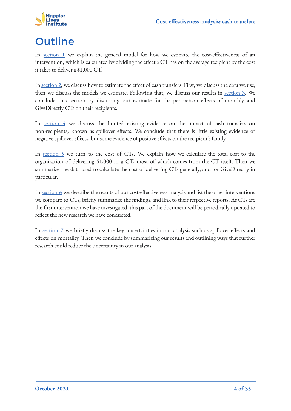

### <span id="page-3-0"></span>**Outline**

In section  $1$  we explain the general model for how we estimate the cost-effectiveness of an intervention, which is calculated by dividing the effect a CT has on the average recipient by the cost it takes to deliver a \$1,000 CT.

In [section 2](#page-5-0), we discuss how to estimate the effect of cash transfers. First, we discuss the data we use, then we discuss the models we estimate. Following that, we discuss our results in [section 3.](#page-9-0) We conclude this section by discussing our estimate for the per person effects of monthly and GiveDirectly CTs on their recipients.

In [section 4](#page-15-0) we discuss the limited existing evidence on the impact of cash transfers on non-recipients, known as spillover effects. We conclude that there is little existing evidence of negative spillover effects, but some evidence of positive effects on the recipient's family.

In [section 5](#page-17-0) we turn to the cost of CTs. We explain how we calculate the total cost to the organization of delivering \$1,000 in a CT, most of which comes from the CT itself. Then we summarize the data used to calculate the cost of delivering CTs generally, and for GiveDirectly in particular.

In [section 6](#page-19-0) we describe the results of our cost-effectiveness analysis and list the other interventions we compare to CTs, briefly summarize the findings, and link to their respective reports. As CTs are the first intervention we have investigated, this part of the document will be periodically updated to reflect the new research we have conducted.

<span id="page-3-1"></span>In [section 7](#page-21-0) we briefly discuss the key uncertainties in our analysis such as spillover effects and effects on mortality. Then we conclude by summarizing our results and outlining ways that further research could reduce the uncertainty in our analysis.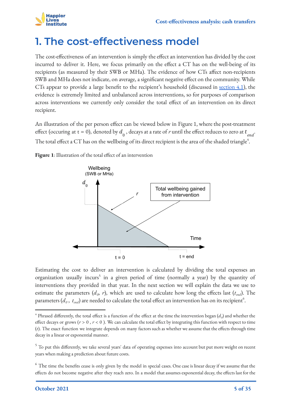

### <span id="page-4-0"></span>**1. The cost-effectiveness model**

The cost-effectiveness of an intervention is simply the effect an intervention has divided by the cost incurred to deliver it. Here, we focus primarily on the effect a CT has on the well-being of its recipients (as measured by their SWB or MHa). The evidence of how CTs affect non-recipients SWB and MHa does not indicate, on average, a significant negative effect on the community. While CTs appear to provide a large benefit to the recipient's household (discussed in [section 4.1\)](#page-15-1), the evidence is extremely limited and unbalanced across interventions, so for purposes of comparison across interventions we currently only consider the total effect of an intervention on its direct recipient.

An illustration of the per person effect can be viewed below in Figure 1, where the post-treatment effect (occuring at t = 0), denoted by  $d_0$ , decays at a rate of  $r$  until the effect reduces to zero at  $t_{end}$ . The total effect a CT has on the wellbeing of its direct recipient is the area of the shaded triangle<sup>4</sup>.

**Figure 1**: Illustration of the total effect of an intervention



Estimating the cost to deliver an intervention is calculated by dividing the total expenses an organization usually incurs<sup>5</sup> in a given period of time (normally a year) by the quantity of interventions they provided in that year. In the next section we will explain the data we use to estimate the parameters  $(d_0, r)$ , which are used to calculate how long the effects last  $(t_{end})$ . The parameters ( $d_{\varrho},\;t_{\mathit{end}}$ ) are needed to calculate the total effect an intervention has on its recipient<sup>6</sup>.

<sup>&</sup>lt;sup>4</sup> Phrased differently, the total effect is a function of the effect at the time the intervention began  $(d_0)$  and whether the effect decays or grows  $(r > 0, r < 0)$ . We can calculate the total effect by integrating this function with respect to time (*t*). The exact function we integrate depends on many factors such as whether we assume that the effects through time decay in a linear or exponential manner.

<sup>&</sup>lt;sup>5</sup> To put this differently, we take several years' data of operating expenses into account but put more weight on recent years when making a prediction about future costs.

 $6$  The time the benefits cease is only given by the model in special cases. One case is linear decay if we assume that the effects do not become negative after they reach zero. In a model that assumes exponential decay, the effects last for the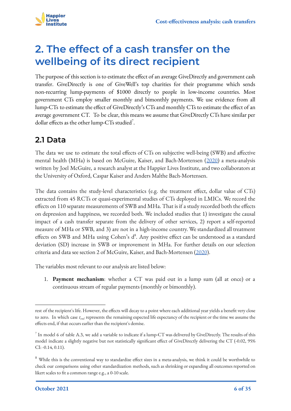

### <span id="page-5-0"></span>**2. The effect of a cash transfer on the wellbeing of its direct recipient**

The purpose of this section is to estimate the effect of an average GiveDirectly and government cash transfer. GiveDirectly is one of GiveWell's top charities for their programme which sends non-recurring lump-payments of \$1000 directly to people in low-income countries. Most government CTs employ smaller monthly and bimonthly payments. We use evidence from all lump-CTs to estimate the effect of GiveDirectly's CTs and monthly CTs to estimate the effect of an average government CT. To be clear, this means we assume that GiveDirectly CTs have similar per dollar effects as the other lump-CTs studied<sup>7</sup>.

### <span id="page-5-1"></span>**2.1 Data**

The data we use to estimate the total effects of CTs on subjective well-being (SWB) and affective mental health (MHa) is based on McGuire, Kaiser, and Bach-Mortensen ([2020\)](https://www.happierlivesinstitute.org/cash-transfers.html) a meta-analysis written by Joel McGuire, a research analyst at the Happier Lives Institute, and two collaborators at the University of Oxford, Caspar Kaiser and Anders Malthe Bach-Mortensen.

The data contains the study-level characteristics (e.g. the treatment effect, dollar value of CTs) extracted from 45 RCTs or quasi-experimental studies of CTs deployed in LMICs. We record the effects on 110 separate measurements of SWB and MHa. That is if a study recorded both the effects on depression and happiness, we recorded both. We included studies that 1) investigate the causal impact of a cash transfer separate from the delivery of other services, 2) report a self-reported measure of MHa or SWB, and 3) are not in a high-income country. We standardized all treatment effects on SWB and MHa using Cohen's d<sup>8</sup>. Any positive effect can be understood as a standard deviation (SD) increase in SWB or improvement in MHa. For further details on our selection criteria and data see section 2 of McGuire, Kaiser, and Bach-Mortensen [\(2020](https://www.happierlivesinstitute.org/cash-transfers.html)).

The variables most relevant to our analysis are listed below:

1. **Payment mechanism**: whether a CT was paid out in a lump sum (all at once) or a continuous stream of regular payments (monthly or bimonthly).

rest of the recipient's life. However, the effects will decay to a point where each additional year yields a benefit very close to zero. In which case *tend* represents the remaining expected life expectancy of the recipient or the time we assume the effects end, if that occurs earlier than the recipient's demise.

 $^7$  In model 6 of table A.3, we add a variable to indicate if a lump-CT was delivered by GiveDirectly. The results of this model indicate a slightly negative but not statistically significant effect of GiveDirectly delivering the CT (-0.02, 95% CI: -0.14, 0.11).

<sup>&</sup>lt;sup>8</sup> While this is the conventional way to standardize effect sizes in a meta-analysis, we think it could be worthwhile to check our comparisons using other standardization methods, such as shrinking or expanding all outcomes reported on likert scales to fit a common range e.g., a 0-10 scale.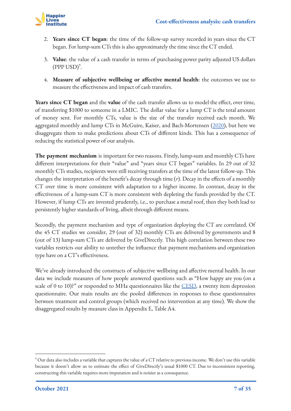

- 2. **Years since CT began**: the time of the follow-up survey recorded in years since the CT began. For lump-sum CTs this is also approximately the time since the CT ended.
- 3. **Value**: the value of a cash transfer in terms of purchasing power parity adjusted US dollars  $(PPP USD)^9$ .
- 4. **Measure of subjective wellbeing or affective mental health**: the outcomes we use to measure the effectiveness and impact of cash transfers.

**Years since CT began** and the **value** of the cash transfer allows us to model the effect, over time, of transferring \$1000 to someone in a LMIC. The dollar value for a lump CT is the total amount of money sent. For monthly CTs, value is the size of the transfer received each month. We aggregated monthly and lump CTs in McGuire, Kaiser, and Bach-Mortensen [\(2020\)](https://www.happierlivesinstitute.org/cash-transfers.html), but here we disaggregate them to make predictions about CTs of different kinds. This has a consequence of reducing the statistical power of our analysis.

**The payment mechanism** is important for two reasons. Firstly, lump-sum and monthly CTs have different interpretations for their "value" and "years since CT began" variables. In 29 out of 32 monthly CTs studies, recipients were still receiving transfers at the time of the latest follow-up. This changes the interpretation of the benefit's decay through time (*r*). Decay in the effects of a monthly CT over time is more consistent with adaptation to a higher income. In contrast, decay in the effectiveness of a lump-sum CT is more consistent with depleting the funds provided by the CT. However, if lump CTs are invested prudently, i.e., to purchase a metal roof, then they both lead to persistently higher standards of living, albeit through different means.

Secondly, the payment mechanism and type of organization deploying the CT are correlated. Of the 45 CT studies we consider, 29 (out of 32) monthly CTs are delivered by governments and 8 (out of 13) lump-sum CTs are delivered by GiveDirectly. This high correlation between these two variables restricts our ability to untether the influence that payment mechanisms and organization type have on a CT's effectiveness.

We've already introduced the constructs of subjective wellbeing and affective mental health. In our data we include measures of how people answered questions such as "How happy are you (on a scale of 0 to 10)?" or responded to MHa questionnaires like the [CESD,](https://www.apa.org/pi/about/publications/caregivers/practice-settings/assessment/tools/depression-scale) a twenty item depression questionnaire. Our main results are the pooled differences in responses to these questionnaires between treatment and control groups (which received no intervention at any time). We show the disaggregated results by measure class in Appendix E, Table A4.

<sup>9</sup> Our data also includes a variable that captures the value of a CT relative to previous income. We don't use this variable because it doesn't allow us to estimate the effect of GiveDirectly's usual \$1000 CT. Due to inconsistent reporting, constructing this variable requires more imputation and is noisier as a consequence.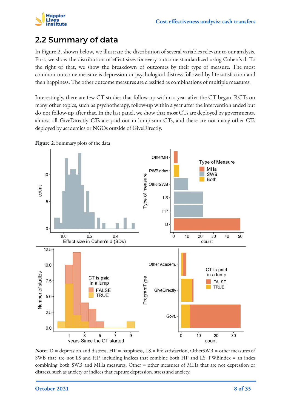

#### <span id="page-7-0"></span>**2.2 Summary of data**

In Figure 2, shown below, we illustrate the distribution of several variables relevant to our analysis. First, we show the distribution of effect sizes for every outcome standardized using Cohen's d. To the right of that, we show the breakdown of outcomes by their type of measure. The most common outcome measure is depression or psychological distress followed by life satisfaction and then happiness. The other outcome measures are classified as combinations of multiple measures.

Interestingly, there are few CT studies that follow-up within a year after the CT began. RCTs on many other topics, such as psychotherapy, follow-up within a year after the intervention ended but do not follow-up after that. In the last panel, we show that most CTs are deployed by governments, almost all GiveDirectly CTs are paid out in lump-sum CTs, and there are not many other CTs deployed by academics or NGOs outside of GiveDirectly.



**Figure 2**: Summary plots of the data

Note: D = depression and distress, HP = happiness, LS = life satisfaction, OtherSWB = other measures of SWB that are not LS and HP, including indices that combine both HP and LS. PWBindex = an index combining both SWB and MHa measures. Other = other measures of MHa that are not depression or distress, such as anxiety or indices that capture depression, stress and anxiety.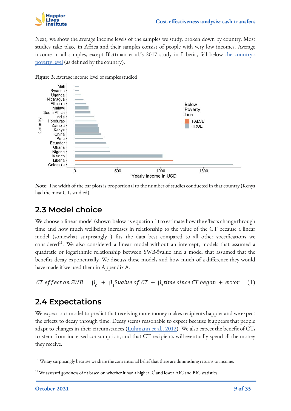

Next, we show the average income levels of the samples we study, broken down by country. Most studies take place in Africa and their samples consist of people with very low incomes. Average income in all samples, except Blattman et al.'s 2017 study in Liberia, fell below [the country's](http://www-wds.worldbank.org/) [poverty level](http://www-wds.worldbank.org/) (as defined by the country).



**Figure 3**: Average income level of samples studied

**Note**: The width of the bar plots is proportional to the number of studies conducted in that country (Kenya had the most CTs studied).

#### <span id="page-8-0"></span>**2.3 Model choice**

We choose a linear model (shown below as equation 1) to estimate how the effects change through time and how much wellbeing increases in relationship to the value of the CT because a linear model (somewhat surprisingly<sup>10</sup>) fits the data best compared to all other specifications we considered<sup>11</sup>. We also considered a linear model without an intercept, models that assumed a quadratic or logarithmic relationship between SWB-\$value and a model that assumed that the benefits decay exponentially. We discuss these models and how much of a difference they would have made if we used them in Appendix A.

<span id="page-8-1"></span>CT effect on SWB =  $\beta_0 + \beta_1$ \$value of CT +  $\beta_2$ time since CT began + error (1)

#### **2.4 Expectations**

We expect our model to predict that receiving more money makes recipients happier and we expect the effects to decay through time. Decay seems reasonable to expect because it appears that people adapt to changes in their circumstances [\(Luhmann et al., 2012\)](https://www.ncbi.nlm.nih.gov/pmc/articles/PMC3289759/?mod=article_inline). We also expect the benefit of CTs to stem from increased consumption, and that CT recipients will eventually spend all the money they receive.

<sup>&</sup>lt;sup>10</sup> We say surprisingly because we share the conventional belief that there are diminishing returns to income.

<sup>&</sup>lt;sup>11</sup> We assessed goodness of fit based on whether it had a higher  $R^2$  and lower AIC and BIC statistics.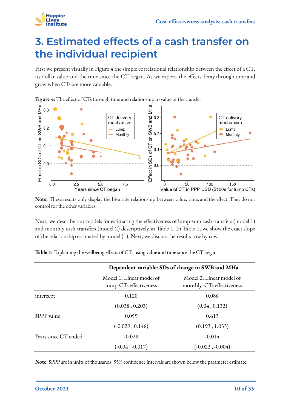

### <span id="page-9-0"></span>**3. Estimated effects of a cash transfer on the individual recipient**

First we present visually in Figure 4 the simple correlational relationship between the effect of a CT, its dollar value and the time since the CT began. As we expect, the effects decay through time and grow when CTs are more valuable.



**Figure 4**: The effect of CTs through time and relationship to value of the transfer

**Note:** These results only display the bivariate relationship between value, time, and the effect. They do not control for the other variables.

Next, we describe our models for estimating the effectiveness of lump-sum cash transfers (model 1) and monthly cash transfers (model 2) descriptively in Table 1. In Table 1, we show the exact slope of the relationship estimated by model (1). Next, we discuss the results row by row.

|                      | Dependent variable: SDs of change in SWB and MHa   |                                                       |  |  |  |  |
|----------------------|----------------------------------------------------|-------------------------------------------------------|--|--|--|--|
|                      | Model 1: Linear model of<br>lump-CTs effectiveness | Model 2: Linear model of<br>monthly CTs effectiveness |  |  |  |  |
| intercept            | 0.120                                              | 0.086                                                 |  |  |  |  |
|                      | (0.038, 0.203)                                     | (0.04, 0.132)                                         |  |  |  |  |
| \$PPP value          | 0.059                                              | 0.613                                                 |  |  |  |  |
|                      | $(-0.029, 0.146)$                                  | (0.193, 1.033)                                        |  |  |  |  |
| Years since CT ended | $-0.028$                                           | $-0.014$                                              |  |  |  |  |
|                      | $(-0.04, -0.017)$                                  | $(-0.023, -0.004)$                                    |  |  |  |  |

**Table 1:** Explaining the wellbeing effects of CTs using value and time since the CT began

**Note**: \$PPP are in units of thousands, 95% confidence intervals are shown below the parameter estimate.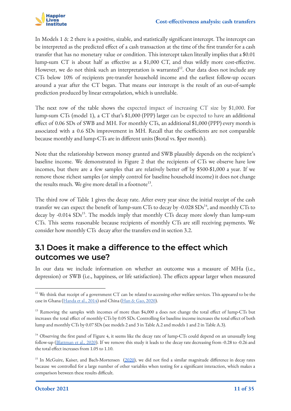

In Models 1 & 2 there is a positive, sizable, and statistically significant intercept. The intercept can be interpreted as the predicted effect of a cash transaction at the time of the first transfer for a cash transfer that has no monetary value or condition. This intercept taken literally implies that a \$0.01 lump-sum CT is about half as effective as a \$1,000 CT, and thus wildly more cost-effective. However, we do not think such an interpretation is warranted<sup>12</sup>. Our data does not include any CTs below 10% of recipients pre-transfer household income and the earliest follow-up occurs around a year after the CT began. That means our intercept is the result of an out-of-sample prediction produced by linear extrapolation, which is unreliable.

The next row of the table shows the expected impact of increasing CT size by \$1,000. For lump-sum CTs (model 1), a CT that's \$1,000 (PPP) larger can be expected to have an additional effect of 0.06 SDs of SWB and MH. For monthly CTs, an additional \$1,000 (PPP) every month is associated with a 0.6 SDs improvement in MH. Recall that the coefficients are not comparable because monthly and lump-CTs are in different units (\$total vs. \$per month).

Note that the relationship between money granted and SWB plausibly depends on the recipient's baseline income. We demonstrated in Figure 2 that the recipients of CTs we observe have low incomes, but there are a few samples that are relatively better off by \$500-\$1,000 a year. If we remove those richest samples (or simply control for baseline household income) it does not change the results much. We give more detail in a footnote<sup>13</sup>.

The third row of Table 1 gives the decay rate. After every year since the initial receipt of the cash transfer we can expect the benefit of lump-sum CTs to decay by -0.028  $SDs<sup>14</sup>$ , and monthly CTs to decay by -0.014  $SDs<sup>15</sup>$ . The models imply that monthly CTs decay more slowly than lump-sum CTs. This seems reasonable because recipients of monthly CTs are still receiving payments. We consider how monthly CTs decay after the transfers end in section 3.2.

#### <span id="page-10-0"></span>**3.1 Does it make a difference to the effect which outcomes we use?**

In our data we include information on whether an outcome was a measure of MHa (i.e., depression) or SWB (i.e., happiness, or life satisfaction). The effects appear larger when measured

<sup>&</sup>lt;sup>12</sup> We think that receipt of a government CT can be related to accessing other welfare services. This appeared to be the case in Ghana ([Handa et al., 2014](https://assets.publishing.service.gov.uk/media/57a089ad40f0b649740001f2/LEAP_Impact_Evaluation_FINAL2014march17.pdf)) and China ([Han & Gao, 2020](https://ideas.repec.org/a/spr/jhappi/v21y2020i5d10.1007_s10902-019-00157-z.html)).

<sup>&</sup>lt;sup>13</sup> Removing the samples with incomes of more than \$4,000 a does not change the total effect of lump-CTs but increases the total effect of monthly CTs by 0.05 SDs. Controlling for baseline income increases the total effect of both lump and monthly CTs by 0.07 SDs (see models 2 and 3 in Table A.2 and models 1 and 2 in Table A.3).

<sup>&</sup>lt;sup>14</sup> Observing the first panel of Figure 4, it seems like the decay rate of lump-CTs could depend on an unusually long follow-up [\(Blattman et al., 2020](https://www.aeaweb.org/articles?id=10.1257/aeri.20190224)). If we remove this study it leads to the decay rate decreasing from -0.28 to -0.26 and the total effect increases from 1.05 to 1.10.

<sup>&</sup>lt;sup>15</sup> In McGuire, Kaiser, and Bach-Mortensen [\(2020\)](https://www.happierlivesinstitute.org/cash-transfers.html), we did not find a similar magnitude difference in decay rates because we controlled for a large number of other variables when testing for a significant interaction, which makes a comparison between these results difficult.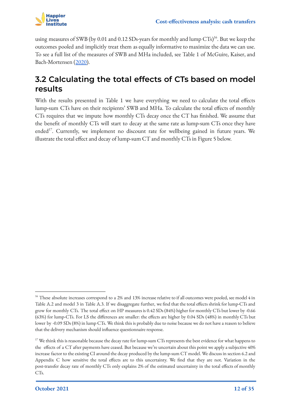

using measures of SWB (by 0.01 and 0.12 SDs-years for monthly and lump  $CTs)^{16}$ . But we keep the outcomes pooled and implicitly treat them as equally informative to maximize the data we can use. To see a full list of the measures of SWB and MHa included, see Table 1 of McGuire, Kaiser, and Bach-Mortensen ([2020\)](https://osf.io/preprints/socarxiv/ydr54/).

#### <span id="page-11-0"></span>**3.2 Calculating the total effects of CTs based on model results**

With the results presented in Table 1 we have everything we need to calculate the total effects lump-sum CTs have on their recipients' SWB and MHa. To calculate the total effects of monthly CTs requires that we impute how monthly CTs decay once the CT has finished. We assume that the benefit of monthly CTs will start to decay at the same rate as lump-sum CTs once they have ended<sup>17</sup>. Currently, we implement no discount rate for wellbeing gained in future years. We illustrate the total effect and decay of lump-sum CT and monthly CTs in Figure 5 below.

<sup>&</sup>lt;sup>16</sup> These absolute increases correspond to a 2% and 13% increase relative to if all outcomes were pooled, see model 4 in Table A.2 and model 3 in Table A.3. If we disaggregate further, we find that the total effects shrink for lump-CTs and grow for monthly CTs. The total effect on HP measures is 0.42 SDs (84%) higher for monthly CTs but lower by -0.66 (63%) for lump-CTs. For LS the differences are smaller: the effects are higher by 0.04 SDs (48%) in monthly CTs but lower by -0.09 SDs (8%) in lump CTs. We think this is probably due to noise because we do not have a reason to believe that the delivery mechanism should influence questionnaire response.

 $17$  We think this is reasonable because the decay rate for lump-sum CTs represents the best evidence for what happens to the effects of a CT after payments have ceased. But because we're uncertain about this point we apply a subjective 40% increase factor to the existing CI around the decay produced by the lump-sum CT model. We discuss in section 6.2 and Appendix C how sensitive the total effects are to this uncertainty. We find that they are not. Variation in the post-transfer decay rate of monthly CTs only explains 2% of the estimated uncertainty in the total effects of monthly CT<sub>s</sub>.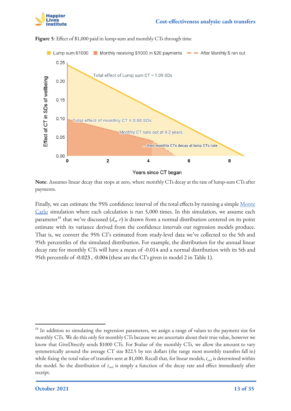



**Figure 5**: Effect of \$1,000 paid in lump-sum and monthly CTs through time

Years since CT began

**Note**: Assumes linear decay that stops at zero, where monthly CTs decay at the rate of lump-sum CTs after payments.

Finally, we can estimate the 95% confidence interval of the total effects by running a simple [Monte](https://en.wikipedia.org/wiki/Monte_Carlo_method) [Carlo](https://en.wikipedia.org/wiki/Monte_Carlo_method) simulation where each calculation is run 5,000 times. In this simulation, we assume each parameter $^{18}$  that we've discussed ( $d_{\mathit{0}}$ ,  $r$ ) is drawn from a normal distribution centered on its point estimate with its variance derived from the confidence intervals our regression models produce. That is, we convert the 95% CI's estimated from study-level data we've collected to the 5th and 95th percentiles of the simulated distribution. For example, the distribution for the annual linear decay rate for monthly CTs will have a mean of -0.014 and a normal distribution with its 5th and 95th percentile of -0.023 , -0.004 (these are the CI's given in model 2 in Table 1).

<sup>&</sup>lt;sup>18</sup> In addition to simulating the regression parameters, we assign a range of values to the payment size for monthly CTs. We do this only for monthly CTs because we are uncertain about their true value, however we know that GiveDirectly sends \$1000 CTs. For \$value of the monthly CTs, we allow the amount to vary symmetrically around the average CT size \$22.5 by ten dollars (the range most monthly transfers fall in) while fixing the total value of transfers sent at \$1,000. Recall that, for linear models,  $t_{end}$  is determined within the model. So the distribution of *tend* is simply a function of the decay rate and effect immediately after receipt.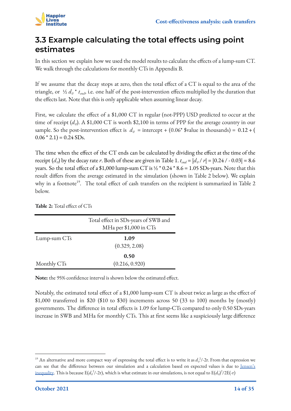

#### <span id="page-13-0"></span>**3.3 Example calculating the total effects using point estimates**

In this section we explain how we used the model results to calculate the effects of a lump-sum CT. We walk through the calculations for monthly CTs in Appendix B.

If we assume that the decay stops at zero, then the total effect of a CT is equal to the area of the triangle, or ½ *d<sup>0</sup>* \* *tend*, i.e. one half of the post-intervention effects multiplied by the duration that the effects last. Note that this is only applicable when assuming linear decay.

First, we calculate the effect of a \$1,000 CT in regular (not-PPP) USD predicted to occur at the time of receipt (*d0*). A \$1,000 CT is worth \$2,100 in terms of PPP for the average country in our sample. So the post-intervention effect is  $d_{0}$  = intercept + (0.06\* \$value in thousands) = 0.12 + (  $0.06 * 2.1 = 0.24$  SDs.

The time when the effect of the CT ends can be calculated by dividing the effect at the time of the receipt  $(d_o)$  by the decay rate *r*. Both of these are given in Table 1.  $t_{end} = |d_o / r| = |0.24 / -0.03| = 8.6$ years. So the total effect of a \$1,000 lump-sum CT is ½ \* 0.24 \* 8.6 = 1.05 SDs-years. Note that this result differs from the average estimated in the simulation (shown in Table 2 below). We explain why in a footnote<sup>19</sup>. The total effect of cash transfers on the recipient is summarized in Table 2 below.

**Table 2:** Total effect of CTs

|              | Total effect in SDs-years of SWB and<br>MHa per \$1,000 in CTs |
|--------------|----------------------------------------------------------------|
| Lump-sum CTs | 1.09<br>(0.329, 2.08)                                          |
| Monthly CTs  | 0.50<br>(0.216, 0.920)                                         |

**Note:** the 95% confidence interval is shown below the estimated effect.

Notably, the estimated total effect of a \$1,000 lump-sum CT is about twice as large as the effect of \$1,000 transferred in \$20 (\$10 to \$30) increments across 50 (33 to 100) months by (mostly) governments. The difference in total effects is 1.09 for lump-CTs compared to only 0.50 SDs-years increase in SWB and MHa for monthly CTs. This at first seems like a suspiciously large difference

 $^{19}$  An alternative and more compact way of expressing the total effect is to write it as  $d_o^2$ /-2r. From that expression we can see that the difference between our simulation and a calculation based on expected values is due to [Jensen's](https://en.wikipedia.org/wiki/Jensen) [inequality](https://en.wikipedia.org/wiki/Jensen). This is because E( $d_o^2$ /-2r), which is what estimate in our simulations, is not equal to E( $d_o$ )<sup>2</sup>/2E(-r)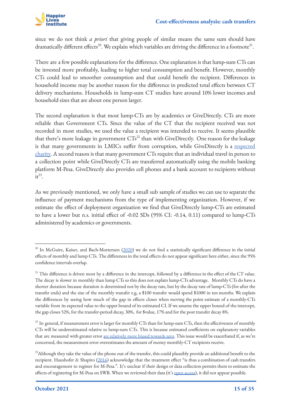

since we do not think *a priori* that giving people of similar means the same sum should have dramatically different effects $^{20}$ . We explain which variables are driving the difference in a footnote $^{21}$ .

There are a few possible explanations for the difference. One explanation is that lump-sum CTs can be invested more profitably, leading to higher total consumption and benefit. However, monthly CTs could lead to smoother consumption and that could benefit the recipient. Differences in household income may be another reason for the difference in predicted total effects between CT delivery mechanisms. Households in lump-sum CT studies have around 10% lower incomes and household sizes that are about one person larger.

The second explanation is that most lump-CTs are by academics or GiveDirectly. CTs are more reliable than Government CTs. Since the value of the CT that the recipient received was not recorded in most studies, we used the value a recipient was intended to receive. It seems plausible that there's more leakage in government CTs<sup>22</sup> than with GiveDirectly. One reason for the leakage is that many governments in LMICs suffer from corruption, while GiveDirectly is a [respected](https://www.givewell.org/charities/give-directly) [charity.](https://www.givewell.org/charities/give-directly) A second reason is that many government CTs require that an individual travel in person to a collection point while GiveDirectly CTs are transferred automatically using the mobile banking platform M-Pesa. GiveDirectly also provides cell phones and a bank account to recipients without  $it^{23}$ .

As we previously mentioned, we only have a small sub sample of studies we can use to separate the influence of payment mechanisms from the type of implementing organization. However, if we estimate the effect of deployment organization we find that GiveDirectly lump-CTs are estimated to have a lower but n.s. initial effect of -0.02 SDs (95% CI: -0.14, 0.11) compared to lump-CTs administered by academics or governments.

 $20$  In McGuire, Kaiser, and Bach-Mortensen ( $2020$ ) we do not find a statistically significant difference in the initial effects of monthly and lump CTs. The differences in the total effects do not appear significant here either, since the 95% confidence intervals overlap.

<sup>&</sup>lt;sup>21</sup> This difference is driven most by a difference in the intercept, followed by a difference in the effect of the CT value. The decay is slower in monthly than lump CTs so this does not explain lump-CTs advantage. Monthly CTs do have a shorter duration because duration is determined not by the decay rate, but by the decay rate of lump-CTs (for after the transfer ends) and the size of the monthly transfer e.g, a \$100 transfer would spend \$1000 in ten months. We explain the differences by seeing how much of the gap in effects closes when moving the point estimate of a monthly-CTs variable from its expected value to the upper bound of its estimated CI. If we assume the upper bound of the intercept, the gap closes 52%, for the transfer-period decay, 30%, for \$value, 17% and for the post transfer decay 8%.

 $22$  In general, if measurement error is larger for monthly CTs than for lump-sum CTs, then the effectiveness of monthly CTs will be underestimated relative to lump-sum CTs. This is because estimated coefficients on explanatory variables that are measured with greater error [are relatively more biased towards zero.](https://econ.lse.ac.uk/staff/spischke/ec524/Merr_new.pdf) This issue would be exacerbated if, as we're concerned, the measurement error overestimates the amount of money monthly-CT recipients receive.

 $^{23}$ Although they take the value of the phone out of the transfer, this could plausibly provide an additional benefit to the recipient. Haushofer & Shapiro [\(2016](https://academic.oup.com/qje/article-abstract/131/4/1973/2468874)) acknowledge that the treatment effect "is thus a combination of cash transfers and encouragement to register for M-Pesa.". It's unclear if their design or data collection permits them to estimate the effects of registering for M-Pesa on SWB. When we reviewed their data (it's [open access](https://dataverse.harvard.edu/dataset.xhtml?persistentId=doi:10.7910/DVN/M2GAZN)), it did not appear possible.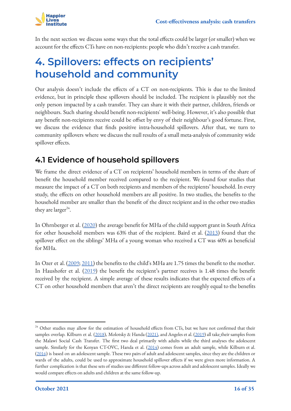

In the next section we discuss some ways that the total effects could be larger (or smaller) when we account for the effects CTs have on non-recipients: people who didn't receive a cash transfer.

### <span id="page-15-0"></span>**4. Spillovers: effects on recipients' household and community**

Our analysis doesn't include the effects of a CT on non-recipients. This is due to the limited evidence, but in principle these spillovers should be included. The recipient is plausibly not the only person impacted by a cash transfer. They can share it with their partner, children, friends or neighbours. Such sharing should benefit non-recipients' well-being. However, it's also possible that any benefit non-recipients receive could be offset by envy of their neighbour's good fortune. First, we discuss the evidence that finds positive intra-household spillovers. After that, we turn to community spillovers where we discuss the null results of a small meta-analysis of community wide spillover effects.

### <span id="page-15-1"></span>**4.1 Evidence of household spillovers**

We frame the direct evidence of a CT on recipients' household members in terms of the share of benefit the household member received compared to the recipient. We found four studies that measure the impact of a CT on both recipients and members of the recipients' household. In every study, the effects on other household members are all positive. In two studies, the benefits to the household member are smaller than the benefit of the direct recipient and in the other two studies they are larger<sup>24</sup>.

In Ohrnberger et al. [\(2020](https://link.springer.com/article/10.1186/s12889-020-08596-7)) the average benefit for MHa of the child support grant in South Africa for other household members was 63% that of the recipient. Baird et al. [\(2013](http://jhr.uwpress.org/content/48/2/370.short)) found that the spillover effect on the siblings' MHa of a young woman who received a CT was 40% as beneficial for MHa.

In Ozer et al. [\(2009](https://pubmed.ncbi.nlm.nih.gov/19336354/); [2011\)](https://www.ncbi.nlm.nih.gov/pmc/articles/PMC3235019/) the benefits to the child's MHa are 1.75 times the benefit to the mother. In Haushofer et al. ([2019\)](https://www.nber.org/papers/w25627) the benefit the recipient's partner receives is 1.48 times the benefit received by the recipient. A simple average of these results indicates that the expected effects of a CT on other household members that aren't the direct recipients are roughly equal to the benefits

<sup>&</sup>lt;sup>24</sup> Other studies may allow for the estimation of household effects from CTs, but we have not confirmed that their samples overlap. Kilburn et al. ([2018\)](https://scholar.google.com/scholar?hl=en&as_sdt=0%2C5&q=Kilburn+2018+cash+transfer&btnG=#:~:text=Paying%20for%20happiness%3A%20Experimental%20results%20from%20a%20large%20cash%20transfer%20program%20in%20Malawi), Molotsky & Handa ([2021\)](https://academic.oup.com/jae/article-abstract/30/3/207/6015888), and Angeles et al. [\(2019\)](https://www.sciencedirect.com/science/article/pii/S0277953619300310) all take their samples from the Malawi Social Cash Transfer. The first two deal primarily with adults while the third analyses the adolescent sample. Similarly for the Kenyan CT-OVC, Handa et al. ([2014\)](https://www.unicef-irc.org/publications/pdf/wp2014_02_ashu_martorano_fin.pdf) comes from an adult sample, while Kilburn et al. [\(2016](https://www.sciencedirect.com/science/article/pii/S1054139X15003791)) is based on an adolescent sample. These two pairs of adult and adolescent samples, since they are the children or wards of the adults, could be used to approximate household spillover effects if we were given more information. A further complication is that these sets of studies use different follow-ups across adult and adolescent samples. Ideally we would compare effects on adults and children at the same follow-up.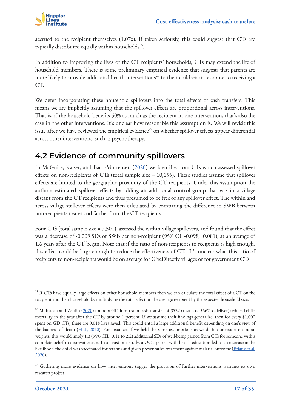

accrued to the recipient themselves (1.07x). If taken seriously, this could suggest that CTs are typically distributed equally within households $^{25}$ .

In addition to improving the lives of the CT recipients' households, CTs may extend the life of household members. There is some preliminary empirical evidence that suggests that parents are more likely to provide additional health interventions<sup>26</sup> to their children in response to receiving a CT.

We defer incorporating these household spillovers into the total effects of cash transfers. This means we are implicitly assuming that the spillover effects are proportional across interventions. That is, if the household benefits 50% as much as the recipient in one intervention, that's also the case in the other interventions. It's unclear how reasonable this assumption is. We will revisit this issue after we have reviewed the empirical evidence<sup>27</sup> on whether spillover effects appear differential across other interventions, such as psychotherapy.

#### <span id="page-16-0"></span>**4.2 Evidence of community spillovers**

In McGuire, Kaiser, and Bach-Mortensen [\(2020](https://www.happierlivesinstitute.org/cash-transfers.html)) we identified four CTs which assessed spillover effects on non-recipients of CTs (total sample size = 10,155). These studies assume that spillover effects are limited to the geographic proximity of the CT recipients. Under this assumption the authors estimated spillover effects by adding an additional control group that was in a village distant from the CT recipients and thus presumed to be free of any spillover effect. The within and across village spillover effects were then calculated by comparing the difference in SWB between non-recipients nearer and farther from the CT recipients.

Four CTs (total sample size = 7,501), assessed the within-village spillovers, and found that the effect was a decrease of -0.009 SDs of SWB per non-recipient (95% CI: -0.098, 0.081), at an average of 1.6 years after the CT began. Note that if the ratio of non-recipients to recipients is high enough, this effect could be large enough to reduce the effectiveness of CTs. It's unclear what this ratio of recipients to non-recipients would be on average for GiveDirectly villages or for government CTs.

<sup>&</sup>lt;sup>25</sup> If CTs have equally large effects on other household members then we can calculate the total effect of a CT on the recipient and their household by multiplying the total effect on the average recipient by the expected household size.

<sup>&</sup>lt;sup>26</sup> McIntosh and Zeitlin ( $2020$ ) found a GD lump-sum cash transfer of \$532 (that cost \$567 to deliver) reduced child mortality in the year after the CT by around 1 percent. If we assume their findings generalize, then for every \$1,000 spent on GD CTs, there are 0.018 lives saved. This could entail a large additional benefit depending on one's view of the badness of death [\(HLI, 2020\)](https://www.happierlivesinstitute.org/moral-weights.html). For instance, if we held the same assumptions as we do in our report on moral weights, this would imply 1.3 (95% CIL: 0.11 to 2.2) additional SDs of well-being gained from CTs for someone with a complete belief in deprivationism. In at least one study, a UCT paired with health education led to an increase in the likelihood the child was vaccinated for tetanus and given preventative treatment against malaria outcome [\(Briaux et al.](https://journals.plos.org/plosmedicine/article?id=10.1371/journal.pmed.1003388) [2020](https://journals.plos.org/plosmedicine/article?id=10.1371/journal.pmed.1003388)).

<sup>&</sup>lt;sup>27</sup> Gathering more evidence on how interventions trigger the provision of further interventions warrants its own research project.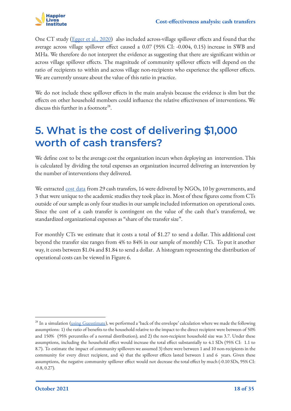

One CT study [\(Egger et al., 2020](https://www.nber.org/papers/w26600)) also included across-village spillover effects and found that the average across village spillover effect caused a 0.07 (95% CI: -0.004, 0.15) increase in SWB and MHa. We therefore do not interpret the evidence as suggesting that there are significant within or across village spillover effects. The magnitude of community spillover effects will depend on the ratio of recipients to within and across village non-recipients who experience the spillover effects. We are currently unsure about the value of this ratio in practice.

We do not include these spillover effects in the main analysis because the evidence is slim but the effects on other household members could influence the relative effectiveness of interventions. We discuss this further in a footnote<sup>28</sup>.

### <span id="page-17-0"></span>**5. What is the cost of delivering \$1,000 worth of cash transfers?**

We define cost to be the average cost the organization incurs when deploying an intervention. This is calculated by dividing the total expenses an organization incurred delivering an intervention by the number of interventions they delivered.

We extracted <u>[cost data](https://docs.google.com/spreadsheets/d/1SMsCpBxDynX1XxL3uamLtMTQMGUoBH2hdhUsLnKuwe4/edit#gid=2028041630)</u> from 29 cash transfers, 16 were delivered by NGOs, 10 by governments, and 3 that were unique to the academic studies they took place in. Most of these figures come from CTs outside of our sample as only four studies in our sample included information on operational costs. Since the cost of a cash transfer is contingent on the value of the cash that's transferred, we standardized organizational expenses as "share of the transfer size".

For monthly CTs we estimate that it costs a total of \$1.27 to send a dollar. This additional cost beyond the transfer size ranges from 4% to 84% in our sample of monthly CTs. To put it another way, it costs between \$1.04 and \$1.84 to send a dollar. A histogram representing the distribution of operational costs can be viewed in Figure 6.

<sup>&</sup>lt;sup>28</sup> In a simulation [\(using Guesstimate](https://www.getguesstimate.com/models/19212)), we performed a 'back of the envelope' calculation where we made the following assumptions: 1) the ratio of benefits to the household relative to the impact to the direct recipient were between of 50% and 150% (95% percentiles of a normal distribution), and 2) the non-recipient household size was 3.7. Under these assumptions, including the household effect would increase the total effect substantially to 4.1 SDs (95% CI: 1.1 to 8.7). To estimate the impact of community spillovers we assumed 3) there were between 1 and 10 non-recipients in the community for every direct recipient, and 4) that the spillover effects lasted between 1 and 6 years. Given these assumptions, the negative community spillover effect would not decrease the total effect by much (-0.10 SDs, 95% CI: -0.8, 0.27).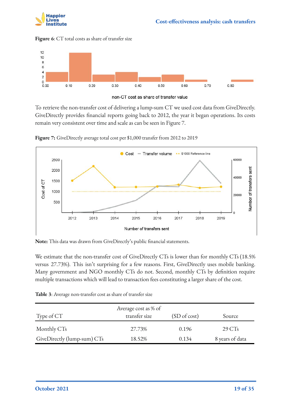

**Figure 6**: CT total costs as share of transfer size



To retrieve the non-transfer cost of delivering a lump-sum CT we used cost data from GiveDirectly. GiveDirectly provides financial reports going back to 2012, the year it began operations. Its costs remain very consistent over time and scale as can be seen in Figure 7.



**Figure 7:** GiveDirectly average total cost per \$1,000 transfer from 2012 to 2019

**Note:** This data was drawn from GiveDirectly's public financial statements.

We estimate that the non-transfer cost of GiveDirectly CTs is lower than for monthly CTs (18.5% versus 27.73%). This isn't surprising for a few reasons. First, GiveDirectly uses mobile banking. Many government and NGO monthly CTs do not. Second, monthly CTs by definition require multiple transactions which will lead to transaction fees constituting a larger share of the cost.

|  | Table 3: Average non-transfer cost as share of transfer size |  |  |
|--|--------------------------------------------------------------|--|--|
|  |                                                              |  |  |

|                             | Average cost as % of |              |                   |
|-----------------------------|----------------------|--------------|-------------------|
| Type of CT                  | transfer size        | (SD of cost) | Source            |
| Monthly CTs                 | 27.73%               | 0.196        | 29 <sub>crs</sub> |
| GiveDirectly (lump-sum) CTs | 18.52%               | 0.134        | 8 years of data   |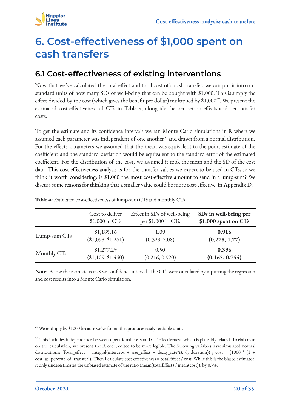

### <span id="page-19-0"></span>**6. Cost-effectiveness of \$1,000 spent on cash transfers**

#### <span id="page-19-1"></span>**6.1 Cost-effectiveness of existing interventions**

Now that we've calculated the total effect and total cost of a cash transfer, we can put it into our standard units of how many SDs of well-being that can be bought with \$1,000. This is simply the effect divided by the cost (which gives the benefit per dollar) multiplied by \$1,000<sup>29</sup>. We present the estimated cost-effectiveness of CTs in Table 4, alongside the per-person effects and per-transfer costs.

To get the estimate and its confidence intervals we ran Monte Carlo simulations in R where we assumed each parameter was independent of one another<sup>30</sup> and drawn from a normal distribution. For the effects parameters we assumed that the mean was equivalent to the point estimate of the coefficient and the standard deviation would be equivalent to the standard error of the estimated coefficient. For the distribution of the cost, we assumed it took the mean and the SD of the cost data. This cost-effectiveness analysis is for the transfer values we expect to be used in CTs, so we think it worth considering: is \$1,000 the most cost-effective amount to send in a lump-sum? We discuss some reasons for thinking that a smaller value could be more cost-effective in Appendix D.

|              | Cost to deliver    | Effect in SDs of well-being | SDs in well-being per |
|--------------|--------------------|-----------------------------|-----------------------|
|              | $$1,000$ in CTs    | per \$1,000 in CTs          | \$1,000 spent on CTs  |
| Lump-sum CTs | \$1,185.16         | 1.09                        | 0.916                 |
|              | (\$1,098, \$1,261) | (0.329, 2.08)               | (0.278, 1.77)         |
| Monthly CTs  | \$1,277.29         | 0.50                        | 0.396                 |
|              | (\$1,109, \$1,440) | (0.216, 0.920)              | (0.165, 0.754)        |

**Table 4:** Estimated cost-effectiveness of lump-sum CTs and monthly CTs

**Note:** Below the estimate is its 95% confidence interval. The CI's were calculated by inputting the regression and cost results into a Monte Carlo simulation.

<sup>&</sup>lt;sup>29</sup> We multiply by \$1000 because we've found this produces easily readable units.

<sup>&</sup>lt;sup>30</sup> This includes independence between operational costs and CT effectiveness, which is plausibly related. To elaborate on the calculation, we present the R code, edited to be more legible. The following variables have simulated normal distributions: Total\_effect = integral(intercept + size\_effect + decay\_rate\*t), 0, duration)) ; cost = (1000 \* (1 + cost\_as\_percent\_of\_transfer)). Then I calculate cost-effectiveness = totalEffect / cost. While this is the biased estimator, it only underestimates the unbiased estimate of the ratio (mean(totalEffect) / mean(cost)), by 0.7%.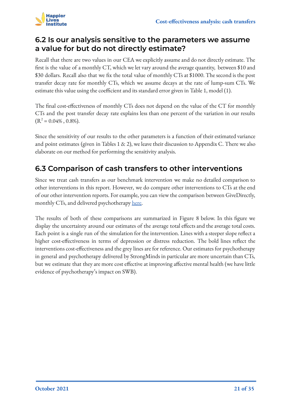

#### <span id="page-20-0"></span>**6.2 Is our analysis sensitive to the parameters we assume a value for but do not directly estimate?**

Recall that there are two values in our CEA we explicitly assume and do not directly estimate. The first is the value of a monthly CT, which we let vary around the average quantity, between \$10 and \$30 dollars. Recall also that we fix the total value of monthly CTs at \$1000. The second is the post transfer decay rate for monthly CTs, which we assume decays at the rate of lump-sum CTs. We estimate this value using the coefficient and its standard error given in Table 1, model (1).

The final cost-effectiveness of monthly CTs does not depend on the value of the CT for monthly CTs and the post transfer decay rate explains less than one percent of the variation in our results  $(R^2 = 0.04\%, 0.8\%).$ 

Since the sensitivity of our results to the other parameters is a function of their estimated variance and point estimates (given in Tables 1 & 2), we leave their discussion to Appendix C. There we also elaborate on our method for performing the sensitivity analysis.

#### <span id="page-20-1"></span>**6.3 Comparison of cash transfers to other interventions**

Since we treat cash transfers as our benchmark intervention we make no detailed comparison to other interventions in this report. However, we do compare other interventions to CTs at the end of our other intervention reports. For example, you can view the comparison between GiveDirectly, monthly CTs, and delivered psychotherapy [here.](https://www.happierlivesinstitute.org/psychotherapy-cea.html)

The results of both of these comparisons are summarized in Figure 8 below. In this figure we display the uncertainty around our estimates of the average total effects and the average total costs. Each point is a single run of the simulation for the intervention. Lines with a steeper slope reflect a higher cost-effectiveness in terms of depression or distress reduction. The bold lines reflect the interventions cost-effectiveness and the grey lines are for reference. Our estimates for psychotherapy in general and psychotherapy delivered by StrongMinds in particular are more uncertain than CTs, but we estimate that they are more cost effective at improving affective mental health (we have little evidence of psychotherapy's impact on SWB).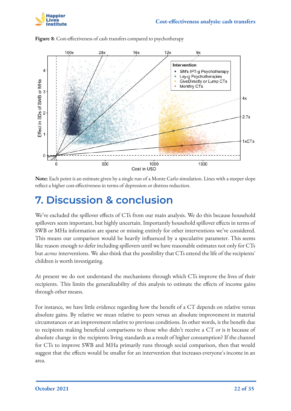



**Figure 8**: Cost-effectiveness of cash transfers compared to psychotherapy

**Note:** Each point is an estimate given by a single run of a Monte Carlo simulation. Lines with a steeper slope reflect a higher cost-effectiveness in terms of depression or distress reduction.

### <span id="page-21-0"></span>**7. Discussion & conclusion**

We've excluded the spillover effects of CTs from our main analysis. We do this because household spillovers seem important, but highly uncertain. Importantly household spillover effects in terms of SWB or MHa information are sparse or missing entirely for other interventions we've considered. This means our comparison would be heavily influenced by a speculative parameter. This seems like reason enough to defer including spillovers until we have reasonable estimates not only for CTs but *across* interventions. We also think that the possibility that CTs extend the life of the recipients' children is worth investigating.

At present we do not understand the mechanisms through which CTs improve the lives of their recipients. This limits the generalizability of this analysis to estimate the effects of income gains through other means.

For instance, we have little evidence regarding how the benefit of a CT depends on relative versus absolute gains. By relative we mean relative to peers versus an absolute improvement in material circumstances or an improvement relative to previous conditions. In other words, is the benefit due to recipients making beneficial comparisons to those who didn't receive a CT or is it because of absolute change in the recipients living standards as a result of higher consumption? If the channel for CTs to improve SWB and MHa primarily runs through social comparison, then that would suggest that the effects would be smaller for an intervention that increases everyone's income in an area.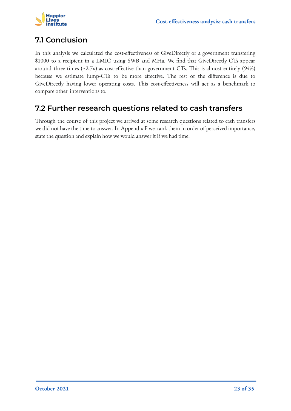

#### <span id="page-22-0"></span>**7.1 Conclusion**

In this analysis we calculated the cost-effectiveness of GiveDirectly or a government transfering \$1000 to a recipient in a LMIC using SWB and MHa. We find that GiveDirectly CTs appear around three times  $(-2.7x)$  as cost-effective than government CTs. This is almost entirely  $(94%)$ because we estimate lump-CTs to be more effective. The rest of the difference is due to GiveDirectly having lower operating costs. This cost-effectiveness will act as a benchmark to compare other interventions to.

#### <span id="page-22-1"></span>**7.2 Further research questions related to cash transfers**

Through the course of this project we arrived at some research questions related to cash transfers we did not have the time to answer. In Appendix F we rank them in order of perceived importance, state the question and explain how we would answer it if we had time.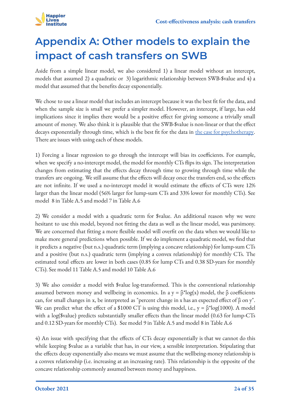

### <span id="page-23-0"></span>**Appendix A: Other models to explain the impact of cash transfers on SWB**

Aside from a simple linear model, we also considered 1) a linear model without an intercept, models that assumed 2) a quadratic or 3) logarithmic relationship between SWB-\$value and 4) a model that assumed that the benefits decay exponentially.

We chose to use a linear model that includes an intercept because it was the best fit for the data, and when the sample size is small we prefer a simpler model. However, an intercept, if large, has odd implications since it implies there would be a positive effect for giving someone a trivially small amount of money. We also think it is plausible that the SWB-\$value is non-linear or that the effect decays exponentially through time, which is the best fit for the data in [the case for psychotherapy.](https://www.happierlivesinstitute.org/psychotherapy-cea.html) There are issues with using each of these models.

1) Forcing a linear regression to go through the intercept will bias its coefficients. For example, when we specify a no-intercept model, the model for monthly CTs flips its sign. The interpretation changes from estimating that the effects decay through time to growing through time while the transfers are ongoing. We still assume that the effects will decay once the transfers end, so the effects are not infinite. If we used a no-intercept model it would estimate the effects of CTs were 12% larger than the linear model (56% larger for lump-sum CTs and 33% lower for monthly CTs). See model 8 in Table A.5 and model 7 in Table A.6

2) We consider a model with a quadratic term for \$value. An additional reason why we were hesitant to use this model, beyond not fitting the data as well as the linear model, was parsimony. We are concerned that fitting a more flexible model will overfit on the data when we would like to make more general predictions when possible. If we do implement a quadratic model, we find that it predicts a negative (but n.s.) quadratic term (implying a concave relationship) for lump-sum CTs and a positive (but n.s.) quadratic term (implying a convex relationship) for monthly CTs. The estimated total effects are lower in both cases (0.85 for lump CTs and 0.38 SD-years for monthly CTs). See model 11 Table A.5 and model 10 Table A.6

3) We also consider a model with \$value log-transformed. This is the conventional relationship assumed between money and wellbeing in economics. In a  $y = \beta^* \log(x)$  model, the  $\beta$  coefficients can, for small changes in x, be interpreted as "percent change in x has an expected effect of β on y". We can predict what the effect of a \$1000 CT is using this model, i.e.,  $y = \beta^* \log(1000)$ . A model with a log(\$value) predicts substantially smaller effects than the linear model (0.63 for lump-CTs and 0.12 SD-years for monthly CTs). See model 9 in Table A.5 and model 8 in Table A.6

4) An issue with specifying that the effects of CTs decay exponentially is that we cannot do this while keeping \$value as a variable that has, in our view, a sensible interpretation. Stipulating that the effects decay exponentially also means we must assume that the wellbeing-money relationship is a convex relationship (i.e. increasing at an increasing rate). This relationship is the opposite of the concave relationship commonly assumed between money and happiness.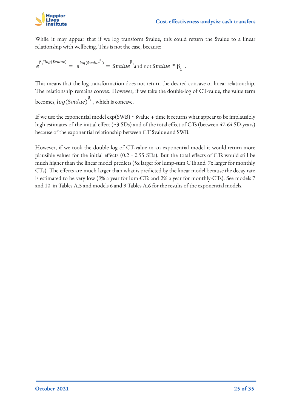

While it may appear that if we log transform \$value, this could return the \$value to a linear relationship with wellbeing. This is not the case, because:

 $e^{\beta_1^{*} log(\text{\$value})} = e^{\log(\text{\$value}^{\beta_1})} = \text{\$value}^{\beta_1}$  and not  $\text{\$value} * \beta_1$ .

This means that the log transformation does not return the desired concave or linear relationship. The relationship remains convex. However, if we take the double-log of CT-value, the value term becomes,  $log(\texttt{\$value})^{\beta_1}$  , which is concave.

If we use the exponential model  $exp(SWB) \sim$  \$value + time it returns what appear to be implausibly high estimates of the initial effect (~3 SDs) and of the total effect of CTs (between 47-64 SD-years) because of the exponential relationship between CT \$value and SWB.

However, if we took the double log of CT-value in an exponential model it would return more plausible values for the initial effects (0.2 - 0.55 SDs). But the total effects of CTs would still be much higher than the linear model predicts (5x larger for lump-sum CTs and 7x larger for monthly CTs). The effects are much larger than what is predicted by the linear model because the decay rate is estimated to be very low (9% a year for lum-CTs and 2% a year for monthly-CTs). See models 7 and 10 in Tables A.5 and models 6 and 9 Tables A.6 for the results of the exponential models.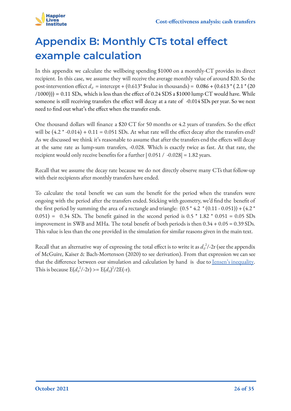

## <span id="page-25-0"></span>**Appendix B: Monthly CTs total effect example calculation**

In this appendix we calculate the wellbeing spending \$1000 on a monthly-CT provides its direct recipient. In this case, we assume they will receive the average monthly value of around \$20. So the post-intervention effect  $d_{0}$  = intercept + (0.613<sup>\*</sup> \$value in thousands) = 0.086 + (0.613<sup>\*</sup> (2.1<sup>\*</sup> (20  $(1000))$  = 0.11 SDs, which is less than the effect of 0.24 SDS a \$1000 lump CT would have. While someone is still receiving transfers the effect will decay at a rate of -0.014 SDs per year. So we next need to find out what's the effect when the transfer ends.

One thousand dollars will finance a \$20 CT for 50 months or 4.2 years of transfers. So the effect will be  $(4.2 * -0.014) + 0.11 = 0.051$  SDs. At what rate will the effect decay after the transfers end? As we discussed we think it's reasonable to assume that after the transfers end the effects will decay at the same rate as lump-sum transfers, -0.028. Which is exactly twice as fast. At that rate, the recipient would only receive benefits for a further  $|0.051 / -0.028| = 1.82$  years.

Recall that we assume the decay rate because we do not directly observe many CTs that follow-up with their recipients after monthly transfers have ended.

To calculate the total benefit we can sum the benefit for the period when the transfers were ongoing with the period after the transfers ended. Sticking with geometry, we'd find the benefit of the first period by summing the area of a rectangle and triangle:  $(0.5 * 4.2 * (0.11 - 0.051)) + (4.2 *$ 0.051) = 0.34 SDs. The benefit gained in the second period is 0.5  $*$  1.82  $*$  0.051 = 0.05 SDs improvement in SWB and MHa. The total benefit of both periods is then 0.34 + 0.05 = 0.39 SDs. This value is less than the one provided in the simulation for similar reasons given in the main text.

Recall that an alternative way of expressing the total effect is to write it as  $d_o^2$ /-2r (see the appendix of McGuire, Kaiser & Bach-Mortenson (2020) to see derivation). From that expression we can see that the difference between our simulation and calculation by hand is due to [Jensen's inequality.](https://en.wikipedia.org/wiki/Jensen) This is because  $E(d_o^2/-2r) \ge E(d_o)^2/2E(-r)$ .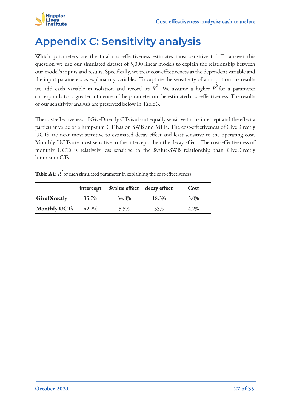

### <span id="page-26-0"></span>**Appendix C: Sensitivity analysis**

Which parameters are the final cost-effectiveness estimates most sensitive to? To answer this question we use our simulated dataset of 5,000 linear models to explain the relationship between our model's inputs and results. Specifically, we treat cost-effectiveness as the dependent variable and the input parameters as explanatory variables. To capture the sensitivity of an input on the results we add each variable in isolation and record its  $R^2$ . We assume a higher  $R^2$ for a parameter corresponds to a greater influence of the parameter on the estimated cost-effectiveness. The results of our sensitivity analysis are presented below in Table 3.

The cost-effectiveness of GiveDirectly CTs is about equally sensitive to the intercept and the effect a particular value of a lump-sum CT has on SWB and MHa. The cost-effectiveness of GiveDirectly UCTs are next most sensitive to estimated decay effect and least sensitive to the operating cost. Monthly UCTs are most sensitive to the intercept, then the decay effect. The cost-effectiveness of monthly UCTs is relatively less sensitive to the \$value-SWB relationship than GiveDirectly lump-sum CTs.

**Table A1:**  $R^2$  of each simulated parameter in explaining the cost-effectiveness

|                     | intercept | \$value effect decay effect |       | Cost |
|---------------------|-----------|-----------------------------|-------|------|
| GiveDirectly        | 35.7%     | 36.8%                       | 18.3% | 3.0% |
| <b>Monthly UCTs</b> | 42.2%     | 5.5%                        | 33%   | 4.2% |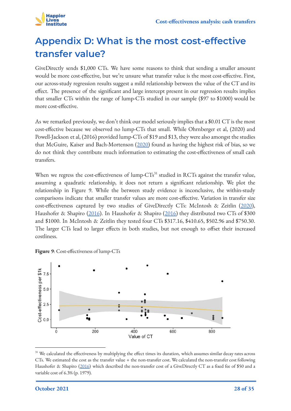

### <span id="page-27-0"></span>**Appendix D: What is the most cost-effective transfer value?**

GiveDirectly sends \$1,000 CTs. We have some reasons to think that sending a smaller amount would be more cost-effective, but we're unsure what transfer value is the most cost-effective. First, our across-study regression results suggest a mild relationship between the value of the CT and its effect. The presence of the significant and large intercept present in our regression results implies that smaller CTs within the range of lump-CTs studied in our sample (\$97 to \$1000) would be more cost-effective.

As we remarked previously, we don't think our model seriously implies that a \$0.01 CT is the most cost-effective because we observed no lump-CTs that small. While Ohrnberger et al, (2020) and Powell-Jackson et al, (2016) provided lump-CTs of \$19 and \$13, they were also amongst the studies that McGuire, Kaiser and Bach-Mortenson ([2020\)](https://www.happierlivesinstitute.org/cash-transfers.html) found as having the highest risk of bias, so we do not think they contribute much information to estimating the cost-effectiveness of small cash transfers.

When we regress the cost-effectiveness of lump-CTs<sup>31</sup> studied in RCTs against the transfer value, assuming a quadratic relationship, it does not return a significant relationship. We plot the relationship in Figure 9. While the between study evidence is inconclusive, the within-study comparisons indicate that smaller transfer values are more cost-effective. Variation in transfer size cost-effectiveness captured by two studies of GiveDirectly CTs: McIntosh & Zeitlin [\(2020](https://arxiv.org/abs/2009.01749)), Haushofer & Shapiro [\(2016](https://academic.oup.com/qje/article-abstract/131/4/1973/2468874)). In Haushofer & Shapiro ([2016\)](https://academic.oup.com/qje/article-abstract/131/4/1973/2468874) they distributed two CTs of \$300 and \$1000. In McIntosh & Zeitlin they tested four CTs \$317.16, \$410.65, \$502.96 and \$750.30. The larger CTs lead to larger effects in both studies, but not enough to offset their increased costliness.

**Figure 9**: Cost-effectiveness of lump-CTs



<sup>&</sup>lt;sup>31</sup> We calculated the effectiveness by multiplying the effect times its duration, which assumes similar decay rates across CTs. We estimated the cost as the transfer value + the non-transfer cost. We calculated the non-transfer cost following Haushofer & Shapiro ([2016\)](https://academic.oup.com/qje/article-abstract/131/4/1973/2468874) which described the non-transfer cost of a GiveDirectly CT as a fixed fee of \$50 and a variable cost of 6.3% (p. 1979).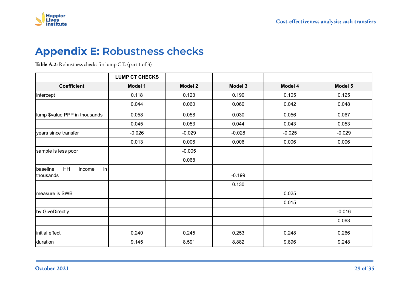

### **Appendix E: Robustness checks**

**Table A.2**: Robustness checks for lump CTs (part 1 of 3)

<span id="page-28-0"></span>

|                                                    | <b>LUMP CT CHECKS</b> |          |                |          |          |
|----------------------------------------------------|-----------------------|----------|----------------|----------|----------|
| <b>Coefficient</b>                                 | <b>Model 1</b>        | Model 2  | <b>Model 3</b> | Model 4  | Model 5  |
| intercept                                          | 0.118                 | 0.123    | 0.190          | 0.105    | 0.125    |
|                                                    | 0.044                 | 0.060    | 0.060          | 0.042    | 0.048    |
| lump \$value PPP in thousands                      | 0.058                 | 0.058    | 0.030          | 0.056    | 0.067    |
|                                                    | 0.045                 | 0.053    | 0.044          | 0.043    | 0.053    |
| years since transfer                               | $-0.026$              | $-0.029$ | $-0.028$       | $-0.025$ | $-0.029$ |
|                                                    | 0.013                 | 0.006    | 0.006          | 0.006    | 0.006    |
| sample is less poor                                |                       | $-0.005$ |                |          |          |
|                                                    |                       | 0.068    |                |          |          |
| <b>HH</b><br>in<br>baseline<br>income<br>thousands |                       |          | $-0.199$       |          |          |
|                                                    |                       |          | 0.130          |          |          |
| measure is SWB                                     |                       |          |                | 0.025    |          |
|                                                    |                       |          |                | 0.015    |          |
| by GiveDirectly                                    |                       |          |                |          | $-0.016$ |
|                                                    |                       |          |                |          | 0.063    |
| initial effect                                     | 0.240                 | 0.245    | 0.253          | 0.248    | 0.266    |
| duration                                           | 9.145                 | 8.591    | 8.882          | 9.896    | 9.248    |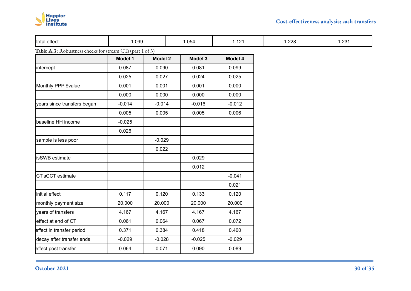



| total effect                                              | 1.099    |                | 1.054 |                | 1.121    | 1.228 | 1.231 |
|-----------------------------------------------------------|----------|----------------|-------|----------------|----------|-------|-------|
| Table A.3: Robustness checks for stream CTs (part 1 of 3) |          |                |       |                |          |       |       |
|                                                           | Model 1  | <b>Model 2</b> |       | <b>Model 3</b> | Model 4  |       |       |
| intercept                                                 | 0.087    | 0.090          |       | 0.081          | 0.099    |       |       |
|                                                           | 0.025    | 0.027          |       | 0.024          | 0.025    |       |       |
| Monthly PPP \$value                                       | 0.001    | 0.001          |       | 0.001          | 0.000    |       |       |
|                                                           | 0.000    | 0.000          |       | 0.000          | 0.000    |       |       |
| years since transfers began                               | $-0.014$ | $-0.014$       |       | $-0.016$       | $-0.012$ |       |       |
|                                                           | 0.005    | 0.005          |       | 0.005          | 0.006    |       |       |
| baseline HH income                                        | $-0.025$ |                |       |                |          |       |       |
|                                                           | 0.026    |                |       |                |          |       |       |
| sample is less poor                                       |          | $-0.029$       |       |                |          |       |       |
|                                                           |          | 0.022          |       |                |          |       |       |
| isSWB estimate                                            |          |                |       | 0.029          |          |       |       |
|                                                           |          |                |       | 0.012          |          |       |       |
| CTisCCT estimate                                          |          |                |       |                | $-0.041$ |       |       |
|                                                           |          |                |       |                | 0.021    |       |       |
| initial effect                                            | 0.117    | 0.120          |       | 0.133          | 0.120    |       |       |
| monthly payment size                                      | 20.000   | 20.000         |       | 20.000         | 20.000   |       |       |
| years of transfers                                        | 4.167    | 4.167          |       | 4.167          | 4.167    |       |       |
| effect at end of CT                                       | 0.061    | 0.064          |       | 0.067          | 0.072    |       |       |
| effect in transfer period                                 | 0.371    | 0.384          |       | 0.418          | 0.400    |       |       |
| decay after transfer ends                                 | $-0.029$ | $-0.028$       |       | $-0.025$       | $-0.029$ |       |       |
| effect post transfer                                      | 0.064    | 0.071          |       | 0.090          | 0.089    |       |       |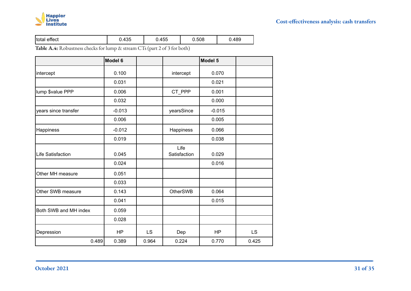

| total<br>effect | 13F<br>ບ.ຯວວ | 0.455 | 0.508 | 0.489 |  |
|-----------------|--------------|-------|-------|-------|--|
|-----------------|--------------|-------|-------|-------|--|

Table A.4: Robustness checks for lump & stream CTs (part 2 of 3 for both)

|                       | Model 6  |           |                      | Model 5   |           |
|-----------------------|----------|-----------|----------------------|-----------|-----------|
| intercept             | 0.100    |           | intercept            | 0.070     |           |
|                       | 0.031    |           |                      | 0.021     |           |
| lump \$value PPP      | 0.006    |           | CT_PPP               | 0.001     |           |
|                       | 0.032    |           |                      | 0.000     |           |
| years since transfer  | $-0.013$ |           | yearsSince           | $-0.015$  |           |
|                       | 0.006    |           |                      | 0.005     |           |
| Happiness             | $-0.012$ |           | Happiness            | 0.066     |           |
|                       | 0.019    |           |                      | 0.038     |           |
| Life Satisfaction     | 0.045    |           | Life<br>Satisfaction | 0.029     |           |
|                       | 0.024    |           |                      | 0.016     |           |
| Other MH measure      | 0.051    |           |                      |           |           |
|                       | 0.033    |           |                      |           |           |
| Other SWB measure     | 0.143    |           | <b>OtherSWB</b>      | 0.064     |           |
|                       | 0.041    |           |                      | 0.015     |           |
| Both SWB and MH index | 0.059    |           |                      |           |           |
|                       | 0.028    |           |                      |           |           |
| Depression            | HP       | <b>LS</b> | Dep                  | <b>HP</b> | <b>LS</b> |
| 0.489                 | 0.389    | 0.964     | 0.224                | 0.770     | 0.425     |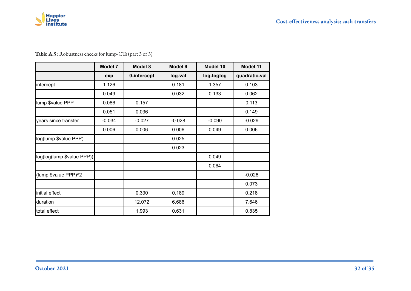

|                            | Model 7  | <b>Model 8</b> | Model 9  | Model 10   | Model 11      |
|----------------------------|----------|----------------|----------|------------|---------------|
|                            | exp      | 0-intercept    | log-val  | log-loglog | quadratic-val |
| intercept                  | 1.126    |                | 0.181    | 1.357      | 0.103         |
|                            | 0.049    |                | 0.032    | 0.133      | 0.062         |
| lump \$value PPP           | 0.086    | 0.157          |          |            | 0.113         |
|                            | 0.051    | 0.036          |          |            | 0.149         |
| years since transfer       | $-0.034$ | $-0.027$       | $-0.028$ | $-0.090$   | $-0.029$      |
|                            | 0.006    | 0.006          | 0.006    | 0.049      | 0.006         |
| log(lump \$value PPP)      |          |                | 0.025    |            |               |
|                            |          |                | 0.023    |            |               |
| log(log(lump \$value PPP)) |          |                |          | 0.049      |               |
|                            |          |                |          | 0.064      |               |
| (lump \$value PPP)^2       |          |                |          |            | $-0.028$      |
|                            |          |                |          |            | 0.073         |
| initial effect             |          | 0.330          | 0.189    |            | 0.218         |
| duration                   |          | 12.072         | 6.686    |            | 7.646         |
| total effect               |          | 1.993          | 0.631    |            | 0.835         |

#### **Table A.5:** Robustness checks for lump-CTs (part 3 of 3)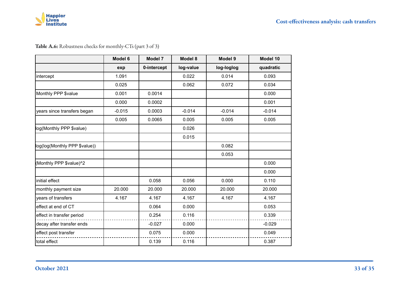

**Table A.6:** Robustness checks for monthly-CTs (part 3 of 3)

|                               | Model 6  | Model 7     | Model 8   | Model 9    | Model 10  |
|-------------------------------|----------|-------------|-----------|------------|-----------|
|                               | exp      | 0-intercept | log-value | log-loglog | quadratic |
| intercept                     | 1.091    |             | 0.022     | 0.014      | 0.093     |
|                               | 0.025    |             | 0.062     | 0.072      | 0.034     |
| Monthly PPP \$value           | 0.001    | 0.0014      |           |            | 0.000     |
|                               | 0.000    | 0.0002      |           |            | 0.001     |
| years since transfers began   | $-0.015$ | 0.0003      | $-0.014$  | $-0.014$   | $-0.014$  |
|                               | 0.005    | 0.0065      | 0.005     | 0.005      | 0.005     |
| log(Monthly PPP \$value)      |          |             | 0.026     |            |           |
|                               |          |             | 0.015     |            |           |
| log(log(Monthly PPP \$value)) |          |             |           | 0.082      |           |
|                               |          |             |           | 0.053      |           |
| (Monthly PPP \$value)^2       |          |             |           |            | 0.000     |
|                               |          |             |           |            | 0.000     |
| initial effect                |          | 0.058       | 0.056     | 0.000      | 0.110     |
| monthly payment size          | 20.000   | 20.000      | 20.000    | 20.000     | 20.000    |
| years of transfers            | 4.167    | 4.167       | 4.167     | 4.167      | 4.167     |
| effect at end of CT           |          | 0.064       | 0.000     |            | 0.053     |
| effect in transfer period     |          | 0.254       | 0.116     |            | 0.339     |
| decay after transfer ends     |          | $-0.027$    | 0.000     |            | $-0.029$  |
| effect post transfer          |          | 0.075       | 0.000     |            | 0.049     |
| total effect                  |          | 0.139       | 0.116     |            | 0.387     |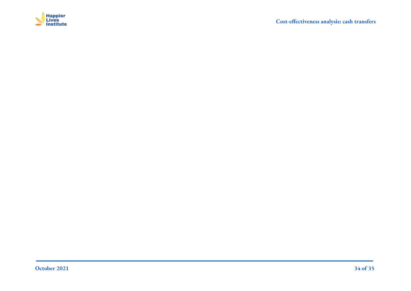